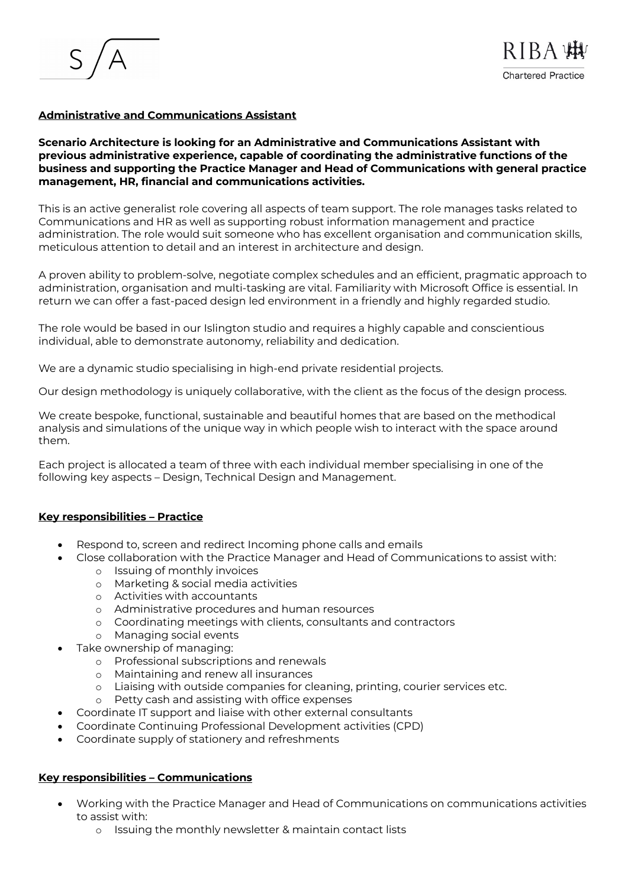# **Administrative and Communications Assistant**

## **Scenario Architecture is looking for an Administrative and Communications Assistant with previous administrative experience, capable of coordinating the administrative functions of the business and supporting the Practice Manager and Head of Communications with general practice management, HR, financial and communications activities.**

This is an active generalist role covering all aspects of team support. The role manages tasks related to Communications and HR as well as supporting robust information management and practice administration. The role would suit someone who has excellent organisation and communication skills, meticulous attention to detail and an interest in architecture and design.

A proven ability to problem-solve, negotiate complex schedules and an efficient, pragmatic approach to administration, organisation and multi-tasking are vital. Familiarity with Microsoft Office is essential. In return we can offer a fast-paced design led environment in a friendly and highly regarded studio.

The role would be based in our Islington studio and requires a highly capable and conscientious individual, able to demonstrate autonomy, reliability and dedication.

We are a dynamic studio specialising in high-end private residential projects.

Our design methodology is uniquely collaborative, with the client as the focus of the design process.

We create bespoke, functional, sustainable and beautiful homes that are based on the methodical analysis and simulations of the unique way in which people wish to interact with the space around them.

Each project is allocated a team of three with each individual member specialising in one of the following key aspects – Design, Technical Design and Management.

## **Key responsibilities – Practice**

- Respond to, screen and redirect Incoming phone calls and emails
- Close collaboration with the Practice Manager and Head of Communications to assist with:
	- o Issuing of monthly invoices
	- o Marketing & social media activities
	- o Activities with accountants
	- o Administrative procedures and human resources
	- o Coordinating meetings with clients, consultants and contractors
	- o Managing social events
- Take ownership of managing:
	- o Professional subscriptions and renewals
	- o Maintaining and renew all insurances
	- o Liaising with outside companies for cleaning, printing, courier services etc.
	- o Petty cash and assisting with office expenses
- Coordinate IT support and liaise with other external consultants
- Coordinate Continuing Professional Development activities (CPD)
- Coordinate supply of stationery and refreshments

## **Key responsibilities – Communications**

- Working with the Practice Manager and Head of Communications on communications activities to assist with:
	- o Issuing the monthly newsletter & maintain contact lists